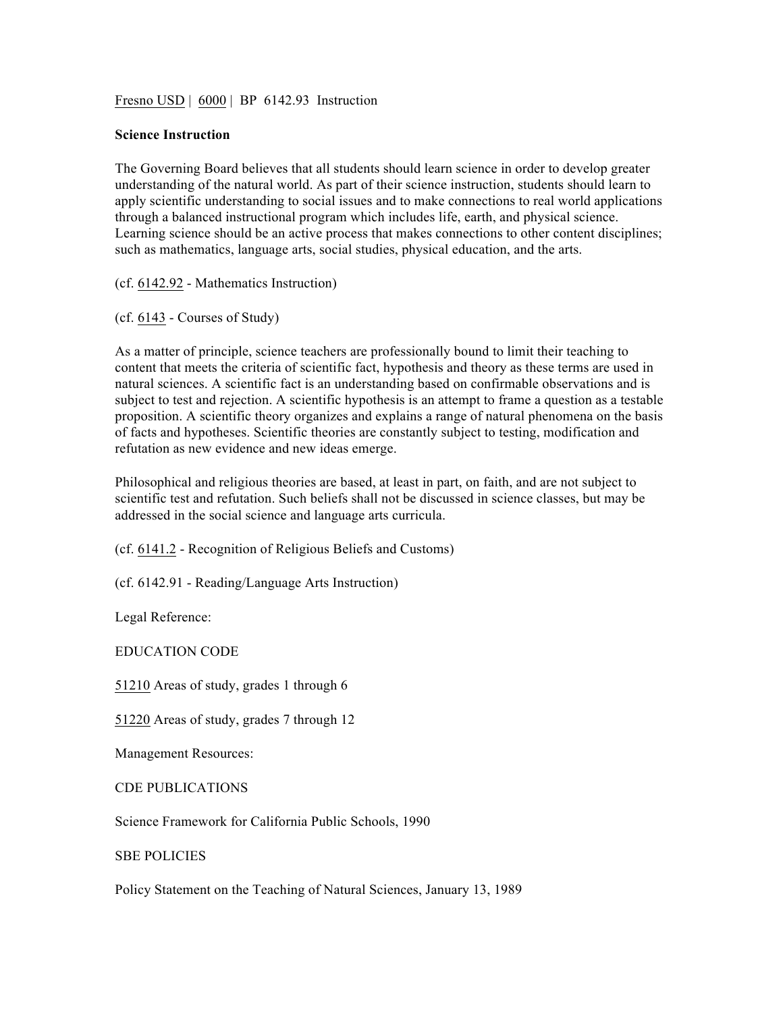Fresno USD | 6000 | BP 6142.93 Instruction

## **Science Instruction**

The Governing Board believes that all students should learn science in order to develop greater understanding of the natural world. As part of their science instruction, students should learn to apply scientific understanding to social issues and to make connections to real world applications through a balanced instructional program which includes life, earth, and physical science. Learning science should be an active process that makes connections to other content disciplines; such as mathematics, language arts, social studies, physical education, and the arts.

(cf. 6142.92 - Mathematics Instruction)

(cf. 6143 - Courses of Study)

As a matter of principle, science teachers are professionally bound to limit their teaching to content that meets the criteria of scientific fact, hypothesis and theory as these terms are used in natural sciences. A scientific fact is an understanding based on confirmable observations and is subject to test and rejection. A scientific hypothesis is an attempt to frame a question as a testable proposition. A scientific theory organizes and explains a range of natural phenomena on the basis of facts and hypotheses. Scientific theories are constantly subject to testing, modification and refutation as new evidence and new ideas emerge.

Philosophical and religious theories are based, at least in part, on faith, and are not subject to scientific test and refutation. Such beliefs shall not be discussed in science classes, but may be addressed in the social science and language arts curricula.

(cf. 6141.2 - Recognition of Religious Beliefs and Customs)

(cf. 6142.91 - Reading/Language Arts Instruction)

Legal Reference:

EDUCATION CODE

51210 Areas of study, grades 1 through 6

51220 Areas of study, grades 7 through 12

Management Resources:

CDE PUBLICATIONS

Science Framework for California Public Schools, 1990

SBE POLICIES

Policy Statement on the Teaching of Natural Sciences, January 13, 1989